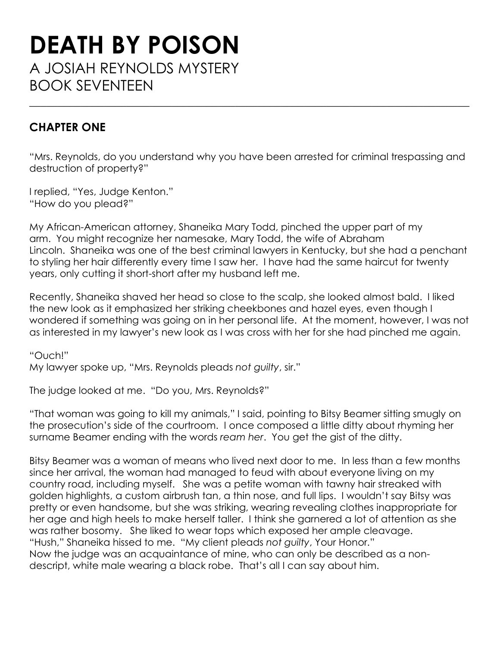## **DEATH BY POISON** A JOSIAH REYNOLDS MYSTERY BOOK SEVENTEEN

## **CHAPTER ONE**

"Mrs. Reynolds, do you understand why you have been arrested for criminal trespassing and destruction of property?"

\_\_\_\_\_\_\_\_\_\_\_\_\_\_\_\_\_\_\_\_\_\_\_\_\_\_\_\_\_\_\_\_\_\_\_\_\_\_\_\_\_\_\_\_\_\_\_\_\_\_\_\_\_\_\_\_\_\_\_\_\_\_\_\_\_\_\_\_\_\_\_\_\_\_\_\_\_

I replied, "Yes, Judge Kenton." "How do you plead?"

My African-American attorney, Shaneika Mary Todd, pinched the upper part of my arm. You might recognize her namesake, Mary Todd, the wife of Abraham Lincoln. Shaneika was one of the best criminal lawyers in Kentucky, but she had a penchant to styling her hair differently every time I saw her. I have had the same haircut for twenty years, only cutting it short-short after my husband left me.

Recently, Shaneika shaved her head so close to the scalp, she looked almost bald. I liked the new look as it emphasized her striking cheekbones and hazel eyes, even though I wondered if something was going on in her personal life. At the moment, however, I was not as interested in my lawyer's new look as I was cross with her for she had pinched me again.

"Ouch!" My lawyer spoke up, "Mrs. Reynolds pleads *not guilty*, sir."

The judge looked at me. "Do you, Mrs. Reynolds?"

"That woman was going to kill my animals," I said, pointing to Bitsy Beamer sitting smugly on the prosecution's side of the courtroom. I once composed a little ditty about rhyming her surname Beamer ending with the words *ream her*. You get the gist of the ditty.

Bitsy Beamer was a woman of means who lived next door to me. In less than a few months since her arrival, the woman had managed to feud with about everyone living on my country road, including myself. She was a petite woman with tawny hair streaked with golden highlights, a custom airbrush tan, a thin nose, and full lips. I wouldn't say Bitsy was pretty or even handsome, but she was striking, wearing revealing clothes inappropriate for her age and high heels to make herself taller. I think she garnered a lot of attention as she was rather bosomy. She liked to wear tops which exposed her ample cleavage. "Hush," Shaneika hissed to me. "My client pleads *not guilty*, Your Honor." Now the judge was an acquaintance of mine, who can only be described as a nondescript, white male wearing a black robe. That's all I can say about him.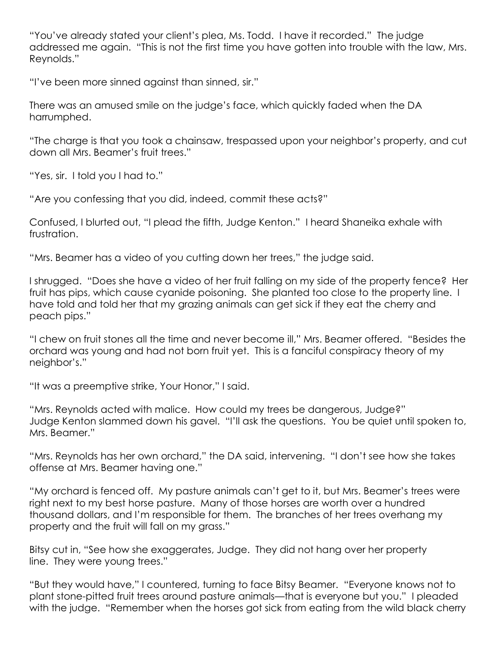"You've already stated your client's plea, Ms. Todd. I have it recorded." The judge addressed me again. "This is not the first time you have gotten into trouble with the law, Mrs. Reynolds."

"I've been more sinned against than sinned, sir."

There was an amused smile on the judge's face, which quickly faded when the DA harrumphed.

"The charge is that you took a chainsaw, trespassed upon your neighbor's property, and cut down all Mrs. Beamer's fruit trees."

"Yes, sir. I told you I had to."

"Are you confessing that you did, indeed, commit these acts?"

Confused, I blurted out, "I plead the fifth, Judge Kenton." I heard Shaneika exhale with frustration.

"Mrs. Beamer has a video of you cutting down her trees," the judge said.

I shrugged. "Does she have a video of her fruit falling on my side of the property fence? Her fruit has pips, which cause cyanide poisoning. She planted too close to the property line. I have told and told her that my grazing animals can get sick if they eat the cherry and peach pips."

"I chew on fruit stones all the time and never become ill," Mrs. Beamer offered. "Besides the orchard was young and had not born fruit yet. This is a fanciful conspiracy theory of my neighbor's."

"It was a preemptive strike, Your Honor," I said.

"Mrs. Reynolds acted with malice. How could my trees be dangerous, Judge?" Judge Kenton slammed down his gavel. "I'll ask the questions. You be quiet until spoken to, Mrs. Beamer."

"Mrs. Reynolds has her own orchard," the DA said, intervening. "I don't see how she takes offense at Mrs. Beamer having one."

"My orchard is fenced off. My pasture animals can't get to it, but Mrs. Beamer's trees were right next to my best horse pasture. Many of those horses are worth over a hundred thousand dollars, and I'm responsible for them. The branches of her trees overhang my property and the fruit will fall on my grass."

Bitsy cut in, "See how she exaggerates, Judge. They did not hang over her property line. They were young trees."

"But they would have," I countered, turning to face Bitsy Beamer. "Everyone knows not to plant stone-pitted fruit trees around pasture animals—that is everyone but you." I pleaded with the judge. "Remember when the horses got sick from eating from the wild black cherry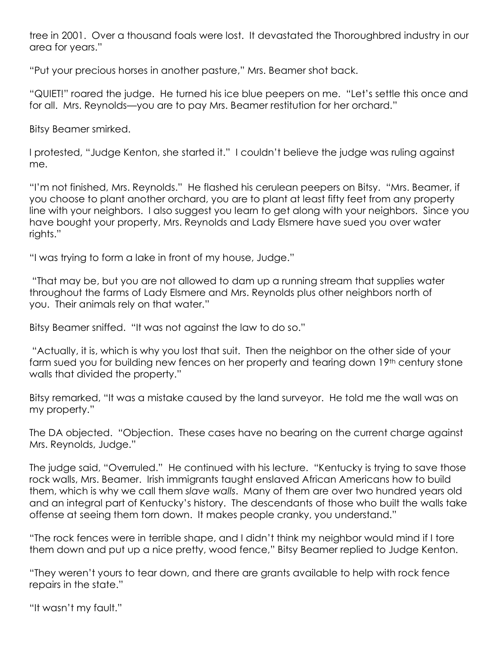tree in 2001. Over a thousand foals were lost. It devastated the Thoroughbred industry in our area for years."

"Put your precious horses in another pasture," Mrs. Beamer shot back.

"QUIET!" roared the judge. He turned his ice blue peepers on me. "Let's settle this once and for all. Mrs. Reynolds—you are to pay Mrs. Beamer restitution for her orchard."

Bitsy Beamer smirked.

I protested, "Judge Kenton, she started it." I couldn't believe the judge was ruling against me.

"I'm not finished, Mrs. Reynolds." He flashed his cerulean peepers on Bitsy. "Mrs. Beamer, if you choose to plant another orchard, you are to plant at least fifty feet from any property line with your neighbors. I also suggest you learn to get along with your neighbors. Since you have bought your property, Mrs. Reynolds and Lady Elsmere have sued you over water rights."

"I was trying to form a lake in front of my house, Judge."

"That may be, but you are not allowed to dam up a running stream that supplies water throughout the farms of Lady Elsmere and Mrs. Reynolds plus other neighbors north of you. Their animals rely on that water."

Bitsy Beamer sniffed. "It was not against the law to do so."

"Actually, it is, which is why you lost that suit. Then the neighbor on the other side of your farm sued you for building new fences on her property and tearing down 19<sup>th</sup> century stone walls that divided the property."

Bitsy remarked, "It was a mistake caused by the land surveyor. He told me the wall was on my property."

The DA objected. "Objection. These cases have no bearing on the current charge against Mrs. Reynolds, Judge."

The judge said, "Overruled." He continued with his lecture. "Kentucky is trying to save those rock walls, Mrs. Beamer. Irish immigrants taught enslaved African Americans how to build them, which is why we call them *slave walls*. Many of them are over two hundred years old and an integral part of Kentucky's history. The descendants of those who built the walls take offense at seeing them torn down. It makes people cranky, you understand."

"The rock fences were in terrible shape, and I didn't think my neighbor would mind if I tore them down and put up a nice pretty, wood fence," Bitsy Beamer replied to Judge Kenton.

"They weren't yours to tear down, and there are grants available to help with rock fence repairs in the state."

"It wasn't my fault."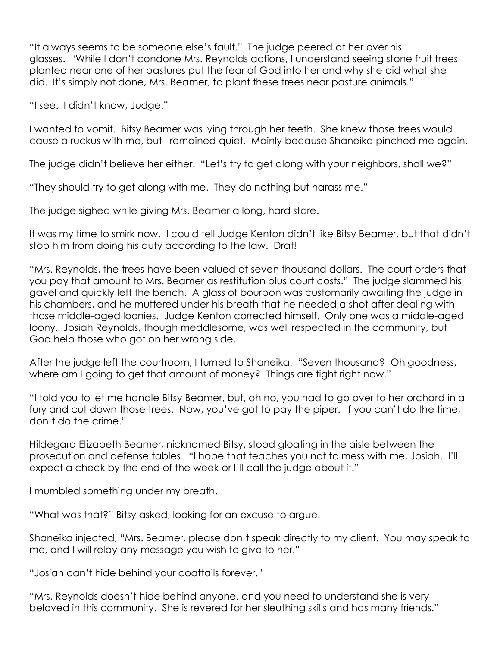"It always seems to be someone else's fault." The judge peered at her over his glasses. "While I don't condone Mrs. Reynolds actions, I understand seeing stone fruit trees planted near one of her pastures put the fear of God into her and why she did what she did. It's simply not done, Mrs. Beamer, to plant these trees near pasture animals."

"I see. I didn't know, Judge."

I wanted to vomit. Bitsy Beamer was lying through her teeth. She knew those trees would cause a ruckus with me, but I remained quiet. Mainly because Shaneika pinched me again.

The judge didn't believe her either. "Let's try to get along with your neighbors, shall we?"

"They should try to get along with me. They do nothing but harass me."

The judge sighed while giving Mrs. Beamer a long, hard stare.

It was my time to smirk now. I could tell Judge Kenton didn't like Bitsy Beamer, but that didn't stop him from doing his duty according to the law. Drat!

"Mrs. Reynolds, the trees have been valued at seven thousand dollars. The court orders that you pay that amount to Mrs. Beamer as restitution plus court costs." The judge slammed his gavel and quickly left the bench. A glass of bourbon was customarily awaiting the judge in his chambers, and he muttered under his breath that he needed a shot after dealing with those middle-aged loonies. Judge Kenton corrected himself. Only one was a middle-aged loony. Josiah Reynolds, though meddlesome, was well respected in the community, but God help those who got on her wrong side.

After the judge left the courtroom, I turned to Shaneika. "Seven thousand? Oh goodness, where am I going to get that amount of money? Things are tight right now."

"I told you to let me handle Bitsy Beamer, but, oh no, you had to go over to her orchard in a fury and cut down those trees. Now, you've got to pay the piper. If you can't do the time, don't do the crime."

Hildegard Elizabeth Beamer, nicknamed Bitsy, stood gloating in the aisle between the prosecution and defense tables. "I hope that teaches you not to mess with me, Josiah. I'll expect a check by the end of the week or I'll call the judge about it."

I mumbled something under my breath.

"What was that?" Bitsy asked, looking for an excuse to argue.

Shaneika injected, "Mrs. Beamer, please don't speak directly to my client. You may speak to me, and I will relay any message you wish to give to her."

"Josiah can't hide behind your coattails forever."

"Mrs. Reynolds doesn't hide behind anyone, and you need to understand she is very beloved in this community. She is revered for her sleuthing skills and has many friends."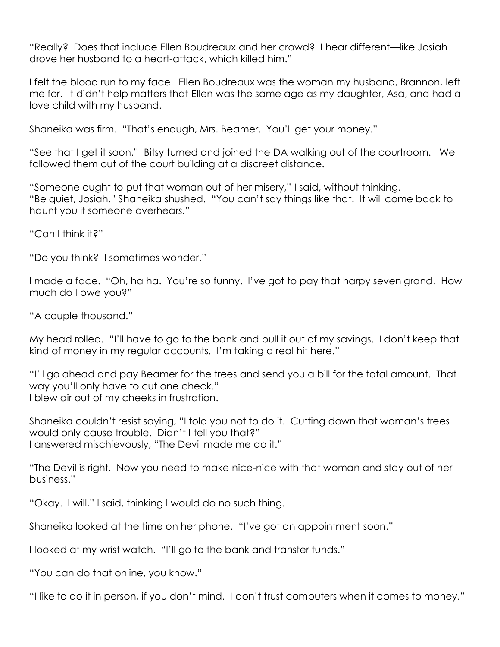"Really? Does that include Ellen Boudreaux and her crowd? I hear different—like Josiah drove her husband to a heart-attack, which killed him."

I felt the blood run to my face. Ellen Boudreaux was the woman my husband, Brannon, left me for. It didn't help matters that Ellen was the same age as my daughter, Asa, and had a love child with my husband.

Shaneika was firm. "That's enough, Mrs. Beamer. You'll get your money."

"See that I get it soon." Bitsy turned and joined the DA walking out of the courtroom. We followed them out of the court building at a discreet distance.

"Someone ought to put that woman out of her misery," I said, without thinking. "Be quiet, Josiah," Shaneika shushed. "You can't say things like that. It will come back to haunt you if someone overhears."

"Can I think it?"

"Do you think? I sometimes wonder."

I made a face. "Oh, ha ha. You're so funny. I've got to pay that harpy seven grand. How much do I owe you?"

"A couple thousand."

My head rolled. "I'll have to go to the bank and pull it out of my savings. I don't keep that kind of money in my regular accounts. I'm taking a real hit here."

"I'll go ahead and pay Beamer for the trees and send you a bill for the total amount. That way you'll only have to cut one check." I blew air out of my cheeks in frustration.

Shaneika couldn't resist saying, "I told you not to do it. Cutting down that woman's trees would only cause trouble. Didn't I tell you that?" I answered mischievously, "The Devil made me do it."

"The Devil is right. Now you need to make nice-nice with that woman and stay out of her business."

"Okay. I will," I said, thinking I would do no such thing.

Shaneika looked at the time on her phone. "I've got an appointment soon."

I looked at my wrist watch. "I'll go to the bank and transfer funds."

"You can do that online, you know."

"I like to do it in person, if you don't mind. I don't trust computers when it comes to money."